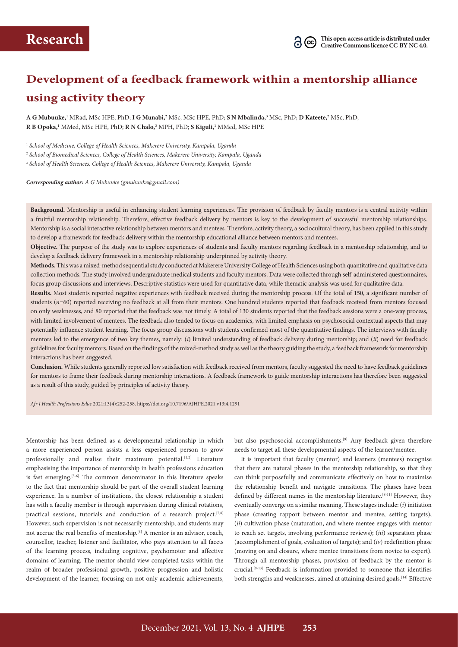# **Development of a feedback framework within a mentorship alliance using activity theory**

**A G Mubuuke,1** MRad, MSc HPE, PhD; **I G Munabi,2** MSc, MSc HPE, PhD; **S N Mbalinda,3** MSc, PhD; **D Kateete,2** MSc, PhD; **R B Opoka,1** MMed, MSc HPE, PhD; **R N Chalo,3** MPH, PhD; **S Kiguli,1** MMed, MSc HPE

<sup>1</sup> *School of Medicine, College of Health Sciences, Makerere University, Kampala, Uganda*

<sup>2</sup> *School of Biomedical Sciences, College of Health Sciences, Makerere University, Kampala, Uganda* 

<sup>3</sup> *School of Health Sciences, College of Health Sciences, Makerere University, Kampala, Uganda*

*Corresponding author: A G Mubuuke [\(gmubuuke@gmail.com\)](mailto:gmubuuke@gmail.com)*

**Background.** Mentorship is useful in enhancing student learning experiences. The provision of feedback by faculty mentors is a central activity within a fruitful mentorship relationship. Therefore, effective feedback delivery by mentors is key to the development of successful mentorship relationships. Mentorship is a social interactive relationship between mentors and mentees. Therefore, activity theory, a sociocultural theory, has been applied in this study to develop a framework for feedback delivery within the mentorship educational alliance between mentors and mentees.

**Objective.** The purpose of the study was to explore experiences of students and faculty mentors regarding feedback in a mentorship relationship, and to develop a feedback delivery framework in a mentorship relationship underpinned by activity theory.

**Methods.** This was a mixed-method sequential study conducted at Makerere University College of Health Sciences using both quantitative and qualitative data collection methods. The study involved undergraduate medical students and faculty mentors. Data were collected through self-administered questionnaires, focus group discussions and interviews. Descriptive statistics were used for quantitative data, while thematic analysis was used for qualitative data.

**Results.** Most students reported negative experiences with feedback received during the mentorship process. Of the total of 150, a significant number of students (*n*=60) reported receiving no feedback at all from their mentors. One hundred students reported that feedback received from mentors focused on only weaknesses, and 80 reported that the feedback was not timely. A total of 130 students reported that the feedback sessions were a one-way process, with limited involvement of mentees. The feedback also tended to focus on academics, with limited emphasis on psychosocial contextual aspects that may potentially influence student learning. The focus group discussions with students confirmed most of the quantitative findings. The interviews with faculty mentors led to the emergence of two key themes, namely: (*i*) limited understanding of feedback delivery during mentorship; and (*ii*) need for feedback guidelines for faculty mentors. Based on the findings of the mixed-method study as well as the theory guiding the study, a feedback framework for mentorship interactions has been suggested.

**Conclusion.** While students generally reported low satisfaction with feedback received from mentors, faculty suggested the need to have feedback guidelines for mentors to frame their feedback during mentorship interactions. A feedback framework to guide mentorship interactions has therefore been suggested as a result of this study, guided by principles of activity theory.

*Afr J Health Professions Educ* 2021;13(4):252-258.<https://doi.org/10.7196/AJHPE.2021.v13i4.1291>

Mentorship has been defined as a developmental relationship in which a more experienced person assists a less experienced person to grow professionally and realise their maximum potential.<sup>[1,2]</sup> Literature emphasising the importance of mentorship in health professions education is fast emerging.<sup>[3-6]</sup> The common denominator in this literature speaks to the fact that mentorship should be part of the overall student learning experience. In a number of institutions, the closest relationship a student has with a faculty member is through supervision during clinical rotations, practical sessions, tutorials and conduction of a research project.<sup>[7,8]</sup> However, such supervision is not necessarily mentorship, and students may not accrue the real benefits of mentorship.[8] A mentor is an advisor, coach, counsellor, teacher, listener and facilitator, who pays attention to all facets of the learning process, including cognitive, psychomotor and affective domains of learning. The mentor should view completed tasks within the realm of broader professional growth, positive progression and holistic development of the learner, focusing on not only academic achievements,

but also psychosocial accomplishments.<sup>[9]</sup> Any feedback given therefore needs to target all these developmental aspects of the learner/mentee.

It is important that faculty (mentor) and learners (mentees) recognise that there are natural phases in the mentorship relationship, so that they can think purposefully and communicate effectively on how to maximise the relationship benefit and navigate transitions. The phases have been defined by different names in the mentorship literature.<sup>[8-11]</sup> However, they eventually converge on a similar meaning. These stages include: (*i*) initiation phase (creating rapport between mentor and mentee, setting targets); (*ii*) cultivation phase (maturation, and where mentee engages with mentor to reach set targets, involving performance reviews); (*iii*) separation phase (accomplishment of goals, evaluation of targets); and (*iv*) redefinition phase (moving on and closure, where mentee transitions from novice to expert). Through all mentorship phases, provision of feedback by the mentor is crucial.[9-13] Feedback is information provided to someone that identifies both strengths and weaknesses, aimed at attaining desired goals.<sup>[14]</sup> Effective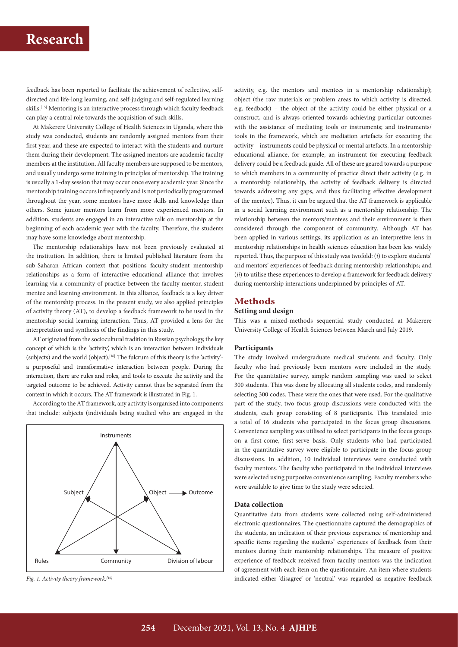feedback has been reported to facilitate the achievement of reflective, selfdirected and life-long learning, and self-judging and self-regulated learning skills.<sup>[15]</sup> Mentoring is an interactive process through which faculty feedback can play a central role towards the acquisition of such skills.

At Makerere University College of Health Sciences in Uganda, where this study was conducted, students are randomly assigned mentors from their first year, and these are expected to interact with the students and nurture them during their development. The assigned mentors are academic faculty members at the institution. All faculty members are supposed to be mentors, and usually undergo some training in principles of mentorship. The training is usually a 1-day session that may occur once every academic year. Since the mentorship training occurs infrequently and is not periodically programmed throughout the year, some mentors have more skills and knowledge than others. Some junior mentors learn from more experienced mentors. In addition, students are engaged in an interactive talk on mentorship at the beginning of each academic year with the faculty. Therefore, the students may have some knowledge about mentorship.

The mentorship relationships have not been previously evaluated at the institution. In addition, there is limited published literature from the sub-Saharan African context that positions faculty-student mentorship relationships as a form of interactive educational alliance that involves learning via a community of practice between the faculty mentor, student mentee and learning environment. In this alliance, feedback is a key driver of the mentorship process. In the present study, we also applied principles of activity theory (AT), to develop a feedback framework to be used in the mentorship social learning interaction. Thus, AT provided a lens for the interpretation and synthesis of the findings in this study.

AT originated from the sociocultural tradition in Russian psychology, the key concept of which is the 'activity', which is an interaction between individuals (subjects) and the world (object).[16] The fulcrum of this theory is the 'activity' a purposeful and transformative interaction between people. During the interaction, there are rules and roles, and tools to execute the activity and the targeted outcome to be achieved. Activity cannot thus be separated from the context in which it occurs. The AT framework is illustrated in Fig. 1.

According to the AT framework, any activity is organised into components that include: subjects (individuals being studied who are engaged in the



*Fig. 1. Activity theory framework.[16]*

activity, e.g. the mentors and mentees in a mentorship relationship); object (the raw materials or problem areas to which activity is directed, e.g. feedback) – the object of the activity could be either physical or a construct, and is always oriented towards achieving particular outcomes with the assistance of mediating tools or instruments; and instruments/ tools in the framework, which are mediation artefacts for executing the activity – instruments could be physical or mental artefacts. In a mentorship educational alliance, for example, an instrument for executing feedback delivery could be a feedback guide. All of these are geared towards a purpose to which members in a community of practice direct their activity (e.g. in a mentorship relationship, the activity of feedback delivery is directed towards addressing any gaps, and thus facilitating effective development of the mentee). Thus, it can be argued that the AT framework is applicable in a social learning environment such as a mentorship relationship. The relationship between the mentors/mentees and their environment is then considered through the component of community*.* Although AT has been applied in various settings, its application as an interpretive lens in mentorship relationships in health sciences education has been less widely reported. Thus, the purpose of this study was twofold: (*i*) to explore students' and mentors' experiences of feedback during mentorship relationships; and (*ii*) to utilise these experiences to develop a framework for feedback delivery during mentorship interactions underpinned by principles of AT.

## **Methods**

## **Setting and design**

This was a mixed-methods sequential study conducted at Makerere University College of Health Sciences between March and July 2019.

### **Participants**

The study involved undergraduate medical students and faculty. Only faculty who had previously been mentors were included in the study. For the quantitative survey, simple random sampling was used to select 300 students. This was done by allocating all students codes, and randomly selecting 300 codes. These were the ones that were used. For the qualitative part of the study, two focus group discussions were conducted with the students, each group consisting of 8 participants. This translated into a total of 16 students who participated in the focus group discussions. Convenience sampling was utilised to select participants in the focus groups on a first-come, first-serve basis. Only students who had participated in the quantitative survey were eligible to participate in the focus group discussions. In addition, 10 individual interviews were conducted with faculty mentors. The faculty who participated in the individual interviews were selected using purposive convenience sampling. Faculty members who were available to give time to the study were selected.

#### **Data collection**

Quantitative data from students were collected using self-administered electronic questionnaires. The questionnaire captured the demographics of the students, an indication of their previous experience of mentorship and specific items regarding the students' experiences of feedback from their mentors during their mentorship relationships. The measure of positive experience of feedback received from faculty mentors was the indication of agreement with each item on the questionnaire. An item where students indicated either 'disagree' or 'neutral' was regarded as negative feedback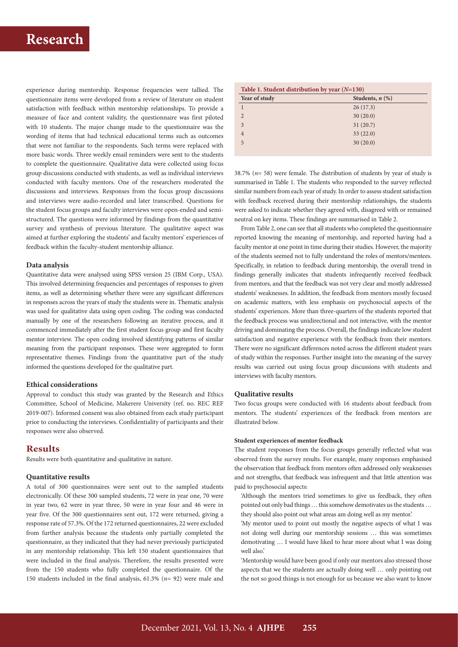experience during mentorship. Response frequencies were tallied. The questionnaire items were developed from a review of literature on student satisfaction with feedback within mentorship relationships. To provide a measure of face and content validity, the questionnaire was first piloted with 10 students. The major change made to the questionnaire was the wording of items that had technical educational terms such as outcomes that were not familiar to the respondents. Such terms were replaced with more basic words. Three weekly email reminders were sent to the students to complete the questionnaire. Qualitative data were collected using focus group discussions conducted with students, as well as individual interviews conducted with faculty mentors. One of the researchers moderated the discussions and interviews. Responses from the focus group discussions and interviews were audio-recorded and later transcribed. Questions for the student focus groups and faculty interviews were open-ended and semistructured. The questions were informed by findings from the quantitative survey and synthesis of previous literature. The qualitative aspect was aimed at further exploring the students' and faculty mentors' experiences of feedback within the faculty-student mentorship alliance.

### **Data analysis**

Quantitative data were analysed using SPSS version 25 (IBM Corp., USA). This involved determining frequencies and percentages of responses to given items, as well as determining whether there were any significant differences in responses across the years of study the students were in. Thematic analysis was used for qualitative data using open coding. The coding was conducted manually by one of the researchers following an iterative process, and it commenced immediately after the first student focus group and first faculty mentor interview. The open coding involved identifying patterns of similar meaning from the participant responses. These were aggregated to form representative themes. Findings from the quantitative part of the study informed the questions developed for the qualitative part.

#### **Ethical considerations**

Approval to conduct this study was granted by the Research and Ethics Committee, School of Medicine, Makerere University (ref. no. REC REF 2019-007). Informed consent was also obtained from each study participant prior to conducting the interviews. Confidentiality of participants and their responses were also observed.

## **Results**

Results were both quantitative and qualitative in nature.

## **Quantitative results**

A total of 300 questionnaires were sent out to the sampled students electronically. Of these 300 sampled students, 72 were in year one, 70 were in year two, 62 were in year three, 50 were in year four and 46 were in year five. Of the 300 questionnaires sent out, 172 were returned, giving a response rate of 57.3%. Of the 172 returned questionnaires, 22 were excluded from further analysis because the students only partially completed the questionnaire, as they indicated that they had never previously participated in any mentorship relationship. This left 150 student questionnaires that were included in the final analysis. Therefore, the results presented were from the 150 students who fully completed the questionnaire. Of the 150 students included in the final analysis, 61.3% (*n*= 92) were male and

| Table 1. Student distribution by year $(N=130)$ |                      |  |
|-------------------------------------------------|----------------------|--|
| Year of study                                   | Students, $n$ $(\%)$ |  |
|                                                 | 26(17.3)             |  |
| $\mathcal{P}$                                   | 30(20.0)             |  |
| $\mathcal{E}$                                   | 31(20.7)             |  |
|                                                 | 33(22.0)             |  |
| 5                                               | 30(20.0)             |  |
|                                                 |                      |  |

38.7% (*n*= 58) were female. The distribution of students by year of study is summarised in Table 1. The students who responded to the survey reflected similar numbers from each year of study. In order to assess student satisfaction with feedback received during their mentorship relationships, the students were asked to indicate whether they agreed with, disagreed with or remained neutral on key items. These findings are summarised in Table 2.

From Table 2, one can see that all students who completed the questionnaire reported knowing the meaning of mentorship, and reported having had a faculty mentor at one point in time during their studies. However, the majority of the students seemed not to fully understand the roles of mentors/mentees. Specifically, in relation to feedback during mentorship, the overall trend in findings generally indicates that students infrequently received feedback from mentors, and that the feedback was not very clear and mostly addressed students' weaknesses. In addition, the feedback from mentors mostly focused on academic matters, with less emphasis on psychosocial aspects of the students' experiences. More than three-quarters of the students reported that the feedback process was unidirectional and not interactive, with the mentor driving and dominating the process. Overall, the findings indicate low student satisfaction and negative experience with the feedback from their mentors. There were no significant differences noted across the different student years of study within the responses. Further insight into the meaning of the survey results was carried out using focus group discussions with students and interviews with faculty mentors.

#### **Qualitative results**

Two focus groups were conducted with 16 students about feedback from mentors. The students' experiences of the feedback from mentors are illustrated below.

#### **Student experiences of mentor feedback**

The student responses from the focus groups generally reflected what was observed from the survey results. For example, many responses emphasised the observation that feedback from mentors often addressed only weaknesses and not strengths, that feedback was infrequent and that little attention was paid to psychosocial aspects:

'Although the mentors tried sometimes to give us feedback, they often pointed out only bad things … this somehow demotivates us the students … they should also point out what areas am doing well as my mentor.'

'My mentor used to point out mostly the negative aspects of what I was not doing well during our mentorship sessions … this was sometimes demotivating … I would have liked to hear more about what I was doing well also.'

'Mentorship would have been good if only our mentors also stressed those aspects that we the students are actually doing well … only pointing out the not so good things is not enough for us because we also want to know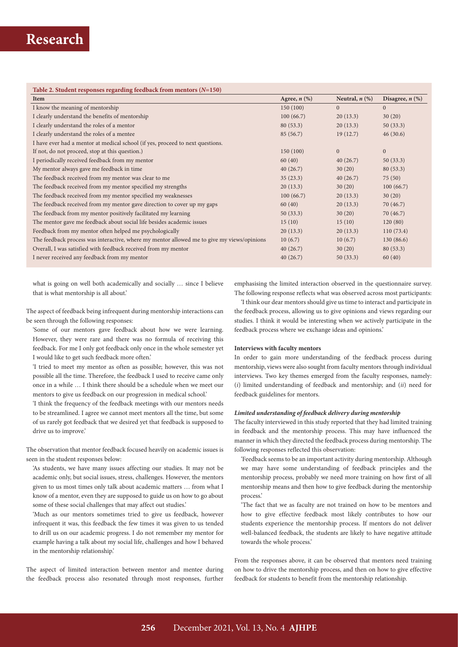## **Table 2. Student responses regarding feedback from mentors (***N***=150)**

| Item                                                                                       | Agree, $n$ $(\%)$ | Neutral, $n$ $(\%)$ | Disagree, $n$ $(\%)$ |
|--------------------------------------------------------------------------------------------|-------------------|---------------------|----------------------|
| I know the meaning of mentorship                                                           | 150 (100)         | $\Omega$            | $\overline{0}$       |
| I clearly understand the benefits of mentorship                                            | 100(66.7)         | 20(13.3)            | 30(20)               |
| I clearly understand the roles of a mentor                                                 | 80(53.3)          | 20(13.3)            | 50(33.3)             |
| I clearly understand the roles of a mentee                                                 | 85 (56.7)         | 19(12.7)            | 46(30.6)             |
| I have ever had a mentor at medical school (if yes, proceed to next questions.             |                   |                     |                      |
| If not, do not proceed, stop at this question.)                                            | 150(100)          | $\mathbf{0}$        | $\mathbf{0}$         |
| I periodically received feedback from my mentor                                            | 60(40)            | 40(26.7)            | 50(33.3)             |
| My mentor always gave me feedback in time                                                  | 40(26.7)          | 30(20)              | 80(53.3)             |
| The feedback received from my mentor was clear to me                                       | 35(23.3)          | 40(26.7)            | 75(50)               |
| The feedback received from my mentor specified my strengths                                | 20(13.3)          | 30(20)              | 100(66.7)            |
| The feedback received from my mentor specified my weaknesses                               | 100(66.7)         | 20(13.3)            | 30(20)               |
| The feedback received from my mentor gave direction to cover up my gaps                    | 60(40)            | 20(13.3)            | 70 (46.7)            |
| The feedback from my mentor positively facilitated my learning                             | 50(33.3)          | 30(20)              | 70 (46.7)            |
| The mentor gave me feedback about social life besides academic issues                      | 15(10)            | 15(10)              | 120(80)              |
| Feedback from my mentor often helped me psychologically                                    | 20(13.3)          | 20(13.3)            | 110(73.4)            |
| The feedback process was interactive, where my mentor allowed me to give my views/opinions | 10(6.7)           | 10(6.7)             | 130(86.6)            |
| Overall, I was satisfied with feedback received from my mentor                             | 40(26.7)          | 30(20)              | 80(53.3)             |
| I never received any feedback from my mentor                                               | 40(26.7)          | 50(33.3)            | 60(40)               |

what is going on well both academically and socially … since I believe that is what mentorship is all about.'

The aspect of feedback being infrequent during mentorship interactions can be seen through the following responses:

'Some of our mentors gave feedback about how we were learning. However, they were rare and there was no formula of receiving this feedback. For me I only got feedback only once in the whole semester yet I would like to get such feedback more often.'

'I tried to meet my mentor as often as possible; however, this was not possible all the time. Therefore, the feedback I used to receive came only once in a while … I think there should be a schedule when we meet our mentors to give us feedback on our progression in medical school.'

'I think the frequency of the feedback meetings with our mentors needs to be streamlined. I agree we cannot meet mentors all the time, but some of us rarely got feedback that we desired yet that feedback is supposed to drive us to improve.'

The observation that mentor feedback focused heavily on academic issues is seen in the student responses below:

'As students, we have many issues affecting our studies. It may not be academic only, but social issues, stress, challenges. However, the mentors given to us most times only talk about academic matters … from what I know of a mentor, even they are supposed to guide us on how to go about some of these social challenges that may affect out studies.'

'Much as our mentors sometimes tried to give us feedback, however infrequent it was, this feedback the few times it was given to us tended to drill us on our academic progress. I do not remember my mentor for example having a talk about my social life, challenges and how I behaved in the mentorship relationship.'

The aspect of limited interaction between mentor and mentee during the feedback process also resonated through most responses, further

emphasising the limited interaction observed in the questionnaire survey. The following response reflects what was observed across most participants:

'I think our dear mentors should give us time to interact and participate in the feedback process, allowing us to give opinions and views regarding our studies. I think it would be interesting when we actively participate in the feedback process where we exchange ideas and opinions.'

#### **Interviews with faculty mentors**

In order to gain more understanding of the feedback process during mentorship, views were also sought from faculty mentors through individual interviews. Two key themes emerged from the faculty responses, namely: (*i*) limited understanding of feedback and mentorship; and (*ii*) need for feedback guidelines for mentors.

#### *Limited understanding of feedback delivery during mentorship*

The faculty interviewed in this study reported that they had limited training in feedback and the mentorship process. This may have influenced the manner in which they directed the feedback process during mentorship. The following responses reflected this observation:

'Feedback seems to be an important activity during mentorship. Although we may have some understanding of feedback principles and the mentorship process, probably we need more training on how first of all mentorship means and then how to give feedback during the mentorship process.'

'The fact that we as faculty are not trained on how to be mentors and how to give effective feedback most likely contributes to how our students experience the mentorship process. If mentors do not deliver well-balanced feedback, the students are likely to have negative attitude towards the whole process.'

From the responses above, it can be observed that mentors need training on how to drive the mentorship process, and then on how to give effective feedback for students to benefit from the mentorship relationship.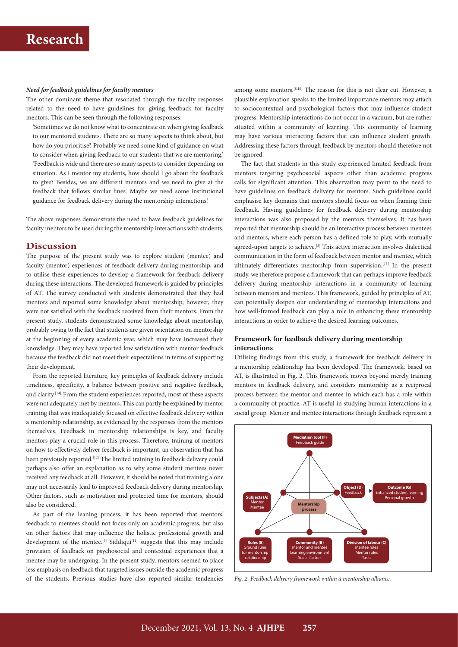#### *Need for feedback guidelines for faculty mentors*

The other dominant theme that resonated through the faculty responses related to the need to have guidelines for giving feedback for faculty mentors. This can be seen through the following responses:

'Sometimes we do not know what to concentrate on when giving feedback to our mentored students. There are so many aspects to think about, but how do you prioritise? Probably we need some kind of guidance on what to consider when giving feedback to our students that we are mentoring.' 'Feedback is wide and there are so many aspects to consider depending on situation. As I mentor my students, how should I go about the feedback to give? Besides, we are different mentors and we need to give at the feedback that follows similar lines. Maybe we need some institutional guidance for feedback delivery during the mentorship interactions.'

The above responses demonstrate the need to have feedback guidelines for faculty mentors to be used during the mentorship interactions with students.

### **Discussion**

The purpose of the present study was to explore student (mentee) and faculty (mentor) experiences of feedback delivery during mentorship, and to utilise these experiences to develop a framework for feedback delivery during these interactions. The developed framework is guided by principles of AT. The survey conducted with students demonstrated that they had mentors and reported some knowledge about mentorship; however, they were not satisfied with the feedback received from their mentors. From the present study, students demonstrated some knowledge about mentorship, probably owing to the fact that students are given orientation on mentorship at the beginning of every academic year, which may have increased their knowledge. They may have reported low satisfaction with mentor feedback because the feedback did not meet their expectations in terms of supporting their development.

From the reported literature, key principles of feedback delivery include timeliness, specificity, a balance between positive and negative feedback, and clarity.[14] From the student experiences reported, most of these aspects were not adequately met by mentors. This can partly be explained by mentor training that was inadequately focused on effective feedback delivery within a mentorship relationship, as evidenced by the responses from the mentors themselves. Feedback in mentorship relationships is key, and faculty mentors play a crucial role in this process. Therefore, training of mentors on how to effectively deliver feedback is important, an observation that has been previously reported.**[**12] The limited training in feedback delivery could perhaps also offer an explanation as to why some student mentees never received any feedback at all. However, it should be noted that training alone may not necessarily lead to improved feedback delivery during mentorship. Other factors, such as motivation and protected time for mentors, should also be considered.

As part of the leaning process, it has been reported that mentors' feedback to mentees should not focus only on academic progress, but also on other factors that may influence the holistic professional growth and development of the mentee.<sup>[9]</sup> Siddiqui<sup>[11]</sup> suggests that this may include provision of feedback on psychosocial and contextual experiences that a mentee may be undergoing. In the present study, mentors seemed to place less emphasis on feedback that targeted issues outside the academic progress of the students. Previous studies have also reported similar tendencies

among some mentors.<sup>[8,10]</sup> The reason for this is not clear cut. However, a plausible explanation speaks to the limited importance mentors may attach to sociocontextual and psychological factors that may influence student progress. Mentorship interactions do not occur in a vacuum, but are rather situated within a community of learning. This community of learning may have various interacting factors that can influence student growth. Addressing these factors through feedback by mentors should therefore not be ignored.

The fact that students in this study experienced limited feedback from mentors targeting psychosocial aspects other than academic progress calls for significant attention. This observation may point to the need to have guidelines on feedback delivery for mentors. Such guidelines could emphasise key domains that mentors should focus on when framing their feedback. Having guidelines for feedback delivery during mentorship interactions was also proposed by the mentors themselves. It has been reported that mentorship should be an interactive process between mentees and mentors, where each person has a defined role to play, with mutually agreed-upon targets to achieve.<sup>[3]</sup> This active interaction involves dialectical communication in the form of feedback between mentor and mentee, which ultimately differentiates mentorship from supervision.<sup>[13]</sup> In the present study, we therefore propose a framework that can perhaps improve feedback delivery during mentorship interactions in a community of learning between mentors and mentees. This framework, guided by principles of AT, can potentially deepen our understanding of mentorship interactions and how well-framed feedback can play a role in enhancing these mentorship interactions in order to achieve the desired learning outcomes.

## **Framework for feedback delivery during mentorship interactions**

Utilising findings from this study, a framework for feedback delivery in a mentorship relationship has been developed. The framework, based on AT, is illustrated in Fig. 2. This framework moves beyond merely training mentors in feedback delivery, and considers mentorship as a reciprocal process between the mentor and mentee in which each has a role within a community of practice. AT is useful in studying human interactions in a social group. Mentor and mentee interactions through feedback represent a



*Fig. 2. Feedback delivery framework within a mentorship alliance.*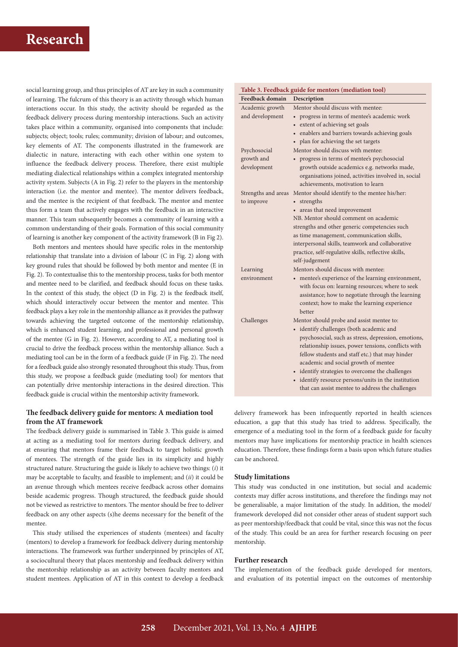social learning group, and thus principles of AT are key in such a community of learning. The fulcrum of this theory is an activity through which human interactions occur. In this study, the activity should be regarded as the feedback delivery process during mentorship interactions. Such an activity takes place within a community, organised into components that include: subjects; object; tools; rules; community; division of labour; and outcomes, key elements of AT. The components illustrated in the framework are dialectic in nature, interacting with each other within one system to influence the feedback delivery process. Therefore, there exist multiple mediating dialectical relationships within a complex integrated mentorship activity system. Subjects (A in Fig. 2) refer to the players in the mentorship interaction (i.e. the mentor and mentee). The mentor delivers feedback, and the mentee is the recipient of that feedback. The mentor and mentee thus form a team that actively engages with the feedback in an interactive manner. This team subsequently becomes a community of learning with a common understanding of their goals. Formation of this social community of learning is another key component of the activity framework (B in Fig 2).

Both mentors and mentees should have specific roles in the mentorship relationship that translate into a division of labour (C in Fig. 2) along with key ground rules that should be followed by both mentor and mentee (E in Fig. 2). To contextualise this to the mentorship process, tasks for both mentor and mentee need to be clarified, and feedback should focus on these tasks. In the context of this study, the object (D in Fig. 2) is the feedback itself, which should interactively occur between the mentor and mentee. This feedback plays a key role in the mentorship alliance as it provides the pathway towards achieving the targeted outcome of the mentorship relationship, which is enhanced student learning, and professional and personal growth of the mentee (G in Fig. 2). However, according to AT, a mediating tool is crucial to drive the feedback process within the mentorship alliance. Such a mediating tool can be in the form of a feedback guide (F in Fig. 2). The need for a feedback guide also strongly resonated throughout this study. Thus, from this study, we propose a feedback guide (mediating tool) for mentors that can potentially drive mentorship interactions in the desired direction. This feedback guide is crucial within the mentorship activity framework.

## **The feedback delivery guide for mentors: A mediation tool from the AT framework**

The feedback delivery guide is summarised in Table 3. This guide is aimed at acting as a mediating tool for mentors during feedback delivery, and at ensuring that mentors frame their feedback to target holistic growth of mentees. The strength of the guide lies in its simplicity and highly structured nature. Structuring the guide is likely to achieve two things: (*i*) it may be acceptable to faculty, and feasible to implement; and (*ii*) it could be an avenue through which mentees receive feedback across other domains beside academic progress. Though structured, the feedback guide should not be viewed as restrictive to mentors. The mentor should be free to deliver feedback on any other aspects (s)he deems necessary for the benefit of the mentee.

This study utilised the experiences of students (mentees) and faculty (mentors) to develop a framework for feedback delivery during mentorship interactions. The framework was further underpinned by principles of AT, a sociocultural theory that places mentorship and feedback delivery within the mentorship relationship as an activity between faculty mentors and student mentees. Application of AT in this context to develop a feedback

|                        | Table 3. Feedback guide for mentors (mediation tool) |
|------------------------|------------------------------------------------------|
| <b>Feedback domain</b> | Description                                          |
| Academic growth        | Mentor should discuss with mentee:                   |
| and development        | • progress in terms of mentee's academic work        |
|                        | extent of achieving set goals                        |
|                        | enablers and barriers towards achieving goals        |
|                        | • plan for achieving the set targets                 |
| Psychosocial           | Mentor should discuss with mentee:                   |
| growth and             | • progress in terms of mentee's psychosocial         |
| development            | growth outside academics e.g. networks made,         |
|                        | organisations joined, activities involved in, social |
|                        | achievements, motivation to learn                    |
| Strengths and areas    | Mentor should identify to the mentee his/her:        |
| to improve             | strengths<br>$\bullet$                               |
|                        | areas that need improvement                          |
|                        | NB. Mentor should comment on academic                |
|                        | strengths and other generic competencies such        |
|                        | as time management, communication skills,            |
|                        | interpersonal skills, teamwork and collaborative     |
|                        | practice, self-regulative skills, reflective skills, |
|                        | self-judgement                                       |
| Learning               | Mentors should discuss with mentee:                  |
| environment            | mentee's experience of the learning environment,     |
|                        | with focus on: learning resources; where to seek     |
|                        | assistance; how to negotiate through the learning    |
|                        | context; how to make the learning experience         |
|                        | hetter                                               |
| Challenges             | Mentor should probe and assist mentee to:            |
|                        | • identify challenges (both academic and             |
|                        | psychosocial, such as stress, depression, emotions,  |
|                        | relationship issues, power tensions, conflicts with  |
|                        | fellow students and staff etc.) that may hinder      |
|                        | academic and social growth of mentee                 |
|                        | • identify strategies to overcome the challenges     |
|                        | • identify resource persons/units in the institution |
|                        | that can assist mentee to address the challenges     |

delivery framework has been infrequently reported in health sciences education, a gap that this study has tried to address. Specifically, the emergence of a mediating tool in the form of a feedback guide for faculty mentors may have implications for mentorship practice in health sciences education. Therefore, these findings form a basis upon which future studies can be anchored.

## **Study limitations**

This study was conducted in one institution, but social and academic contexts may differ across institutions, and therefore the findings may not be generalisable, a major limitation of the study. In addition, the model/ framework developed did not consider other areas of student support such as peer mentorship/feedback that could be vital, since this was not the focus of the study. This could be an area for further research focusing on peer mentorship.

### **Further research**

The implementation of the feedback guide developed for mentors, and evaluation of its potential impact on the outcomes of mentorship